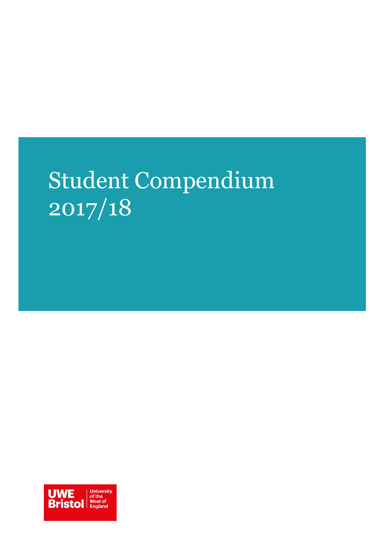# Student Compendium 2017/18

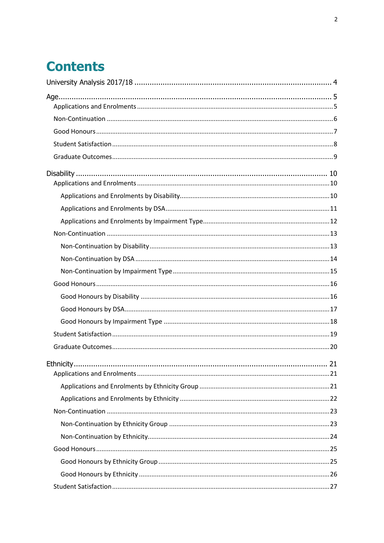## **Contents**

| Ethnicity. | 21 |
|------------|----|
|            |    |
|            |    |
|            |    |
|            |    |
|            |    |
|            |    |
|            |    |
|            |    |
|            |    |
|            |    |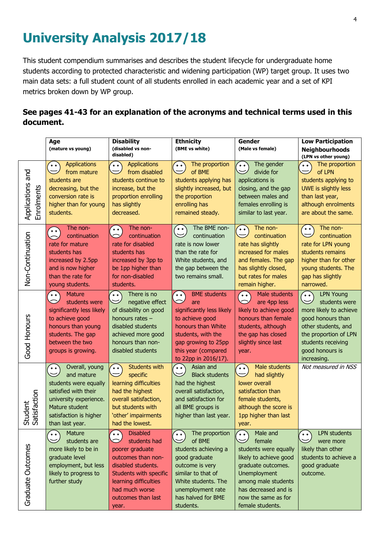## <span id="page-3-0"></span>**University Analysis 2017/18**

This student compendium summarises and describes the student lifecycle for undergraduate home students according to protected characteristic and widening participation (WP) target group. It uses two main data sets: a full student count of all students enrolled in each academic year and a set of KPI metrics broken down by WP group.

## **See pages 41-43 for an explanation of the acronyms and technical terms used in this document.**

|                                     | Age<br>(mature vs young)                                                                                                                                                                              | <b>Disability</b><br>(disabled vs non-<br>disabled)                                                                                                                                                                   | <b>Ethnicity</b><br>(BME vs white)                                                                                                                                                                         | Gender<br>(Male vs female)                                                                                                                                                                                               | <b>Low Participation</b><br><b>Neighbourhoods</b><br>(LPN vs other young)                                                                                                                             |
|-------------------------------------|-------------------------------------------------------------------------------------------------------------------------------------------------------------------------------------------------------|-----------------------------------------------------------------------------------------------------------------------------------------------------------------------------------------------------------------------|------------------------------------------------------------------------------------------------------------------------------------------------------------------------------------------------------------|--------------------------------------------------------------------------------------------------------------------------------------------------------------------------------------------------------------------------|-------------------------------------------------------------------------------------------------------------------------------------------------------------------------------------------------------|
| Applications and<br>Enrolments      | Applications<br>$\bullet$ $\bullet$<br>from mature<br>students are<br>decreasing, but the<br>conversion rate is<br>higher than for young<br>students.                                                 | <b>Applications</b><br>$\circ$ $\circ$<br>from disabled<br>students continue to<br>increase, but the<br>proportion enrolling<br>has slightly<br>decreased.                                                            | The proportion<br>$^{\circ}$ $^{\circ}$<br>of BME<br>students applying has<br>slightly increased, but<br>the proportion<br>enrolling has<br>remained steady.                                               | The gender<br>$\circ$ $\circ$<br>divide for<br>$\widetilde{\phantom{aa}}$<br>applications is<br>closing, and the gap<br>between males and<br>females enrolling is<br>similar to last year.                               | The proportion<br>່∘∘<br>of LPN<br>≂<br>students applying to<br>UWE is slightly less<br>than last year,<br>although enrolments<br>are about the same.                                                 |
| Non-Continuation                    | The non-<br>$\circ$ $\circ$<br>continuation<br>rate for mature<br>students has<br>increased by 2.5pp<br>and is now higher<br>than the rate for<br>young students.                                     | The non-<br>$^{\circ}$ $^{\circ}$<br>continuation<br>rate for disabled<br>students has<br>increased by 3pp to<br>be 1pp higher than<br>for non-disabled<br>students.                                                  | The BME non-<br>$^{\circ}$ $^{\circ}$<br>continuation<br>rate is now lower<br>than the rate for<br>White students, and<br>the gap between the<br>two remains small.                                        | The non-<br>$\circ$ $\circ$<br>continuation<br>rate has slightly<br>increased for males<br>and females. The gap<br>has slightly closed,<br>but rates for males<br>remain higher.                                         | The non-<br>$\circ$ $\circ$<br>continuation<br>rate for LPN young<br>students remains<br>higher than for other<br>young students. The<br>gap has slightly<br>narrowed.                                |
| Good Honours                        | <b>Mature</b><br>$\circ$ $\circ$<br>students were<br>significantly less likely<br>to achieve good<br>honours than young<br>students. The gap<br>between the two<br>groups is growing.                 | There is no<br>$\circ$ $\circ$<br>negative effect<br>of disability on good<br>honours rates -<br>disabled students<br>achieved more good<br>honours than non-<br>disabled students                                    | <b>BME</b> students<br>$^{\circ}$<br>are<br>significantly less likely<br>to achieve good<br>honours than White<br>students, with the<br>gap growing to 25pp<br>this year (compared<br>to 22pp in 2016/17). | Male students<br>$\sim$<br>are 4pp less<br>likely to achieve good<br>honours than female<br>students, although<br>the gap has closed<br>slightly since last<br>year.                                                     | <b>LPN Young</b><br><b>°°</b><br>students were<br>more likely to achieve<br>good honours than<br>other students, and<br>the proportion of LPN<br>students receiving<br>good honours is<br>increasing. |
| atisfaction<br>Student<br>Satisfact | Overall, young<br>$\circ$ $\circ$<br>$\smile$<br>and mature<br>students were equally<br>satisfied with their<br>university experience.<br>Mature student<br>satisfaction is higher<br>than last year. | <b>Students with</b><br>ົ••`<br>specific<br>learning difficulties<br>had the highest<br>overall satisfaction,<br>but students with<br>'other' impairments<br>had the lowest.                                          | Asian and<br>$\sim$<br><b>Black students</b><br>had the highest<br>overall satisfaction,<br>and satisfaction for<br>all BME groups is<br>higher than last year.                                            | Male students<br>$\circ$ $\circ$<br>had slightly<br>lower overall<br>satisfaction than<br>female students,<br>although the score is<br>1pp higher than last<br>year.                                                     | Not measured in NSS                                                                                                                                                                                   |
| Graduate Outcomes                   | Mature<br>$\circ \circ$<br>students are<br>more likely to be in<br>graduate level<br>employment, but less<br>likely to progress to<br>further study                                                   | <b>Disabled</b><br>$\circ$ $\circ$<br>students had<br>poorer graduate<br>outcomes than non-<br>disabled students.<br>Students with specific<br>learning difficulties<br>had much worse<br>outcomes than last<br>year. | The proportion<br>$^{\circ}$<br>of BME<br>students achieving a<br>good graduate<br>outcome is very<br>similar to that of<br>White students. The<br>unemployment rate<br>has halved for BME<br>students.    | Male and<br>$\circ$ $\circ$<br>female<br>students were equally<br>likely to achieve good<br>graduate outcomes.<br>Unemployment<br>among male students<br>has decreased and is<br>now the same as for<br>female students. | <b>LPN</b> students<br>$\sim$<br>were more<br>likely than other<br>students to achieve a<br>good graduate<br>outcome.                                                                                 |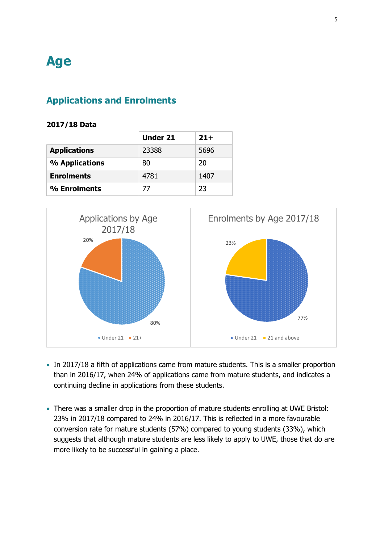## <span id="page-4-0"></span>**Age**

## <span id="page-4-1"></span>**Applications and Enrolments**

#### **2017/18 Data**

|                     | <b>Under 21</b> | $21+$ |
|---------------------|-----------------|-------|
| <b>Applications</b> | 23388           | 5696  |
| % Applications      | 80              | 20    |
| <b>Enrolments</b>   | 4781            | 1407  |
| % Enrolments        | 77              | 23    |



- In 2017/18 a fifth of applications came from mature students. This is a smaller proportion than in 2016/17, when 24% of applications came from mature students, and indicates a continuing decline in applications from these students.
- There was a smaller drop in the proportion of mature students enrolling at UWE Bristol: 23% in 2017/18 compared to 24% in 2016/17. This is reflected in a more favourable conversion rate for mature students (57%) compared to young students (33%), which suggests that although mature students are less likely to apply to UWE, those that do are more likely to be successful in gaining a place.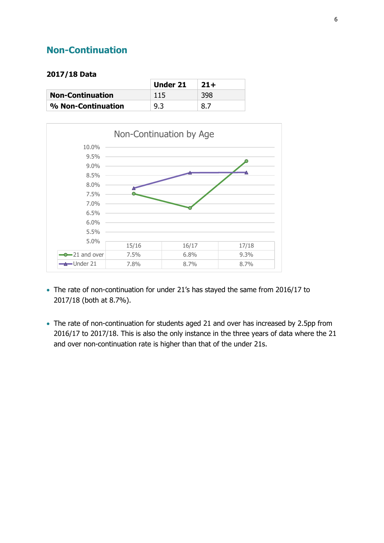## <span id="page-5-0"></span>**Non-Continuation**

#### **2017/18 Data**

|                         | Under 21 | $21+$ |
|-------------------------|----------|-------|
| <b>Non-Continuation</b> | 115      | 398   |
| % Non-Continuation      | 9.3      | 8.7   |



- The rate of non-continuation for under 21's has stayed the same from 2016/17 to 2017/18 (both at 8.7%).
- The rate of non-continuation for students aged 21 and over has increased by 2.5pp from 2016/17 to 2017/18. This is also the only instance in the three years of data where the 21 and over non-continuation rate is higher than that of the under 21s.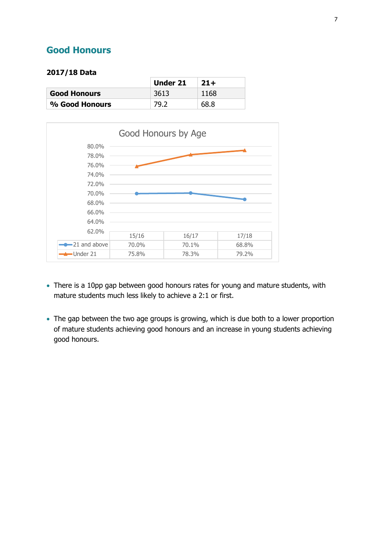## <span id="page-6-0"></span>**Good Honours**

#### **2017/18 Data**

|                     | Under 21 | $21+$ |
|---------------------|----------|-------|
| <b>Good Honours</b> | 3613     | 1168  |
| % Good Honours      | 79.2     | 68.8  |



- There is a 10pp gap between good honours rates for young and mature students, with mature students much less likely to achieve a 2:1 or first.
- The gap between the two age groups is growing, which is due both to a lower proportion of mature students achieving good honours and an increase in young students achieving good honours.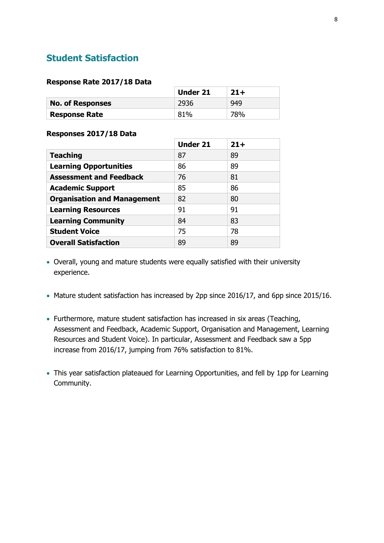## <span id="page-7-0"></span>**Student Satisfaction**

#### **Response Rate 2017/18 Data**

|                         | <b>Under 21</b> | $21+$ |
|-------------------------|-----------------|-------|
| <b>No. of Responses</b> | 2936            | 949   |
| Response Rate           | 81%             | 78%   |

#### **Responses 2017/18 Data**

|                                    | <b>Under 21</b> | $21+$ |
|------------------------------------|-----------------|-------|
| <b>Teaching</b>                    | 87              | 89    |
| <b>Learning Opportunities</b>      | 86              | 89    |
| <b>Assessment and Feedback</b>     | 76              | 81    |
| <b>Academic Support</b>            | 85              | 86    |
| <b>Organisation and Management</b> | 82              | 80    |
| <b>Learning Resources</b>          | 91              | 91    |
| <b>Learning Community</b>          | 84              | 83    |
| <b>Student Voice</b>               | 75              | 78    |
| <b>Overall Satisfaction</b>        | 89              | 89    |

- Overall, young and mature students were equally satisfied with their university experience.
- Mature student satisfaction has increased by 2pp since 2016/17, and 6pp since 2015/16.
- Furthermore, mature student satisfaction has increased in six areas (Teaching, Assessment and Feedback, Academic Support, Organisation and Management, Learning Resources and Student Voice). In particular, Assessment and Feedback saw a 5pp increase from 2016/17, jumping from 76% satisfaction to 81%.
- This year satisfaction plateaued for Learning Opportunities, and fell by 1pp for Learning Community.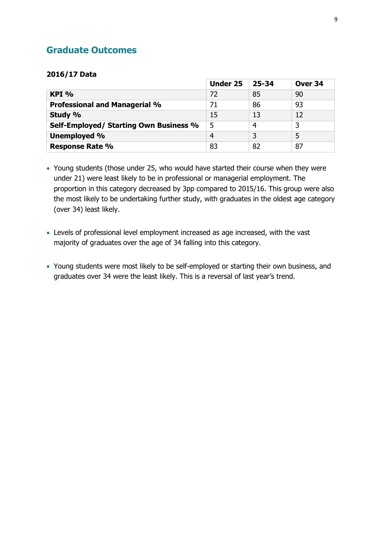## <span id="page-8-0"></span>**Graduate Outcomes**

#### **2016/17 Data**

|                                        | <b>Under 25</b> | 25-34 | Over 34 |
|----------------------------------------|-----------------|-------|---------|
| $KPI$ %                                | 72              | 85    | 90      |
| <b>Professional and Managerial %</b>   | 71              | 86    | 93      |
| Study %                                | 15              | 13    | 12      |
| Self-Employed/ Starting Own Business % | 5               | 4     |         |
| <b>Unemployed %</b>                    | $\overline{4}$  | 3     | 5       |
| <b>Response Rate %</b>                 | 83              | 82    | 87      |

 Young students (those under 25, who would have started their course when they were under 21) were least likely to be in professional or managerial employment. The proportion in this category decreased by 3pp compared to 2015/16. This group were also the most likely to be undertaking further study, with graduates in the oldest age category (over 34) least likely.

- Levels of professional level employment increased as age increased, with the vast majority of graduates over the age of 34 falling into this category.
- Young students were most likely to be self-employed or starting their own business, and graduates over 34 were the least likely. This is a reversal of last year's trend.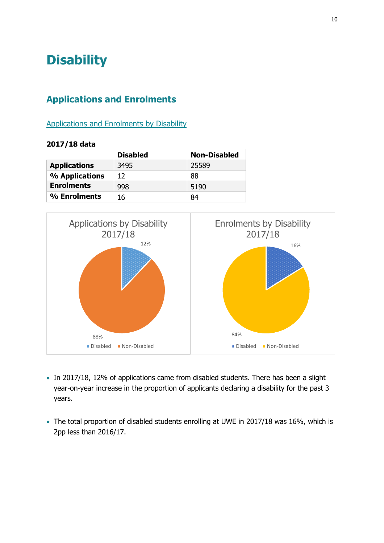## <span id="page-9-0"></span>**Disability**

## <span id="page-9-1"></span>**Applications and Enrolments**

### <span id="page-9-2"></span>Applications and Enrolments by Disability

|                     | <b>Disabled</b> | <b>Non-Disabled</b> |
|---------------------|-----------------|---------------------|
| <b>Applications</b> | 3495            | 25589               |
| % Applications      | 12              | 88                  |
| <b>Enrolments</b>   | 998             | 5190                |
| % Enrolments        | 16              | 84                  |



- In 2017/18, 12% of applications came from disabled students. There has been a slight year-on-year increase in the proportion of applicants declaring a disability for the past 3 years.
- The total proportion of disabled students enrolling at UWE in 2017/18 was 16%, which is 2pp less than 2016/17.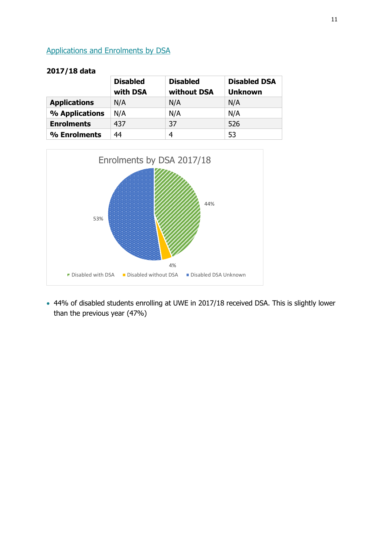## <span id="page-10-0"></span>Applications and Enrolments by DSA

|                     | <b>Disabled</b><br>with DSA | <b>Disabled</b><br>without DSA | <b>Disabled DSA</b><br><b>Unknown</b> |
|---------------------|-----------------------------|--------------------------------|---------------------------------------|
| <b>Applications</b> | N/A                         | N/A                            | N/A                                   |
| % Applications      | N/A                         | N/A                            | N/A                                   |
| <b>Enrolments</b>   | 437                         | 37                             | 526                                   |
| % Enrolments        | 44                          | 4                              | 53                                    |

#### **2017/18 data**



 44% of disabled students enrolling at UWE in 2017/18 received DSA. This is slightly lower than the previous year (47%)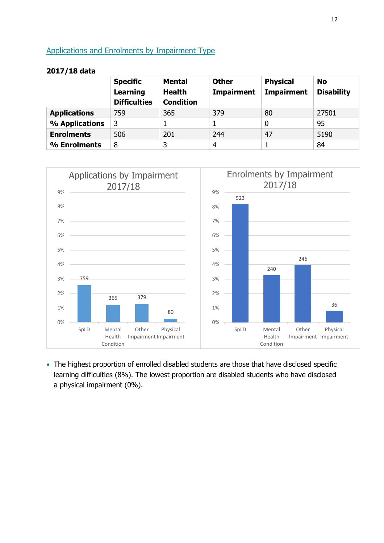## <span id="page-11-0"></span>Applications and Enrolments by Impairment Type

**2017/18 data**

|                     | <b>Specific</b><br>Learning<br><b>Difficulties</b> | Mental<br><b>Health</b><br><b>Condition</b> | <b>Other</b><br><b>Impairment</b> | <b>Physical</b><br><b>Impairment</b> | <b>No</b><br><b>Disability</b> |
|---------------------|----------------------------------------------------|---------------------------------------------|-----------------------------------|--------------------------------------|--------------------------------|
| <b>Applications</b> | 759                                                | 365                                         | 379                               | 80                                   | 27501                          |
| % Applications      | 3                                                  |                                             |                                   | 0                                    | 95                             |
| <b>Enrolments</b>   | 506                                                | 201                                         | 244                               | 47                                   | 5190                           |
| % Enrolments        | 8                                                  | 3                                           | 4                                 |                                      | 84                             |



 The highest proportion of enrolled disabled students are those that have disclosed specific learning difficulties (8%). The lowest proportion are disabled students who have disclosed a physical impairment (0%).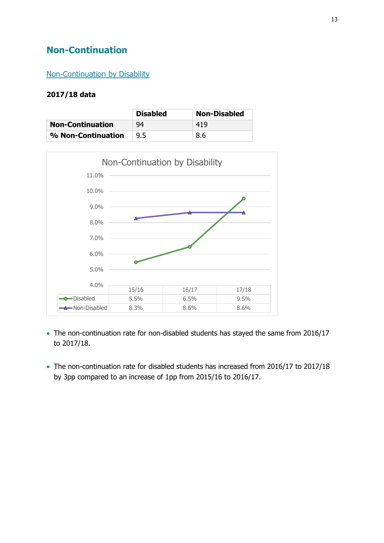## <span id="page-12-0"></span>**Non-Continuation**

### <span id="page-12-1"></span>Non-Continuation by Disability

|                         | <b>Disabled</b> | <b>Non-Disabled</b> |
|-------------------------|-----------------|---------------------|
| <b>Non-Continuation</b> | 94              | 419                 |
| % Non-Continuation      | 9.5             | 8.6                 |



- The non-continuation rate for non-disabled students has stayed the same from 2016/17 to 2017/18.
- The non-continuation rate for disabled students has increased from 2016/17 to 2017/18 by 3pp compared to an increase of 1pp from 2015/16 to 2016/17.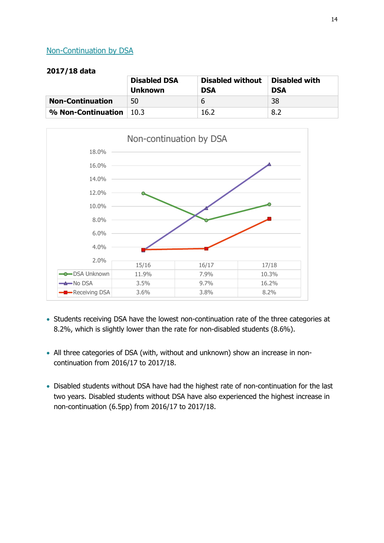## <span id="page-13-0"></span>Non-Continuation by DSA

|                         | <b>Disabled DSA</b><br><b>Unknown</b> | <b>Disabled without</b><br><b>DSA</b> | <b>Disabled with</b><br><b>DSA</b> |
|-------------------------|---------------------------------------|---------------------------------------|------------------------------------|
| <b>Non-Continuation</b> | 50                                    | b                                     | 38                                 |
| % Non-Continuation      | 10.3                                  | 16.2                                  | 8.2                                |



- Students receiving DSA have the lowest non-continuation rate of the three categories at 8.2%, which is slightly lower than the rate for non-disabled students (8.6%).
- All three categories of DSA (with, without and unknown) show an increase in noncontinuation from 2016/17 to 2017/18.
- Disabled students without DSA have had the highest rate of non-continuation for the last two years. Disabled students without DSA have also experienced the highest increase in non-continuation (6.5pp) from 2016/17 to 2017/18.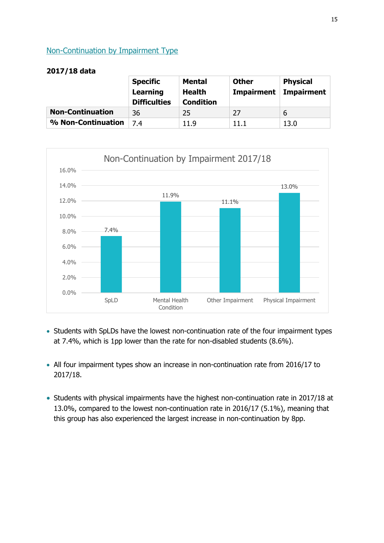## <span id="page-14-0"></span>Non-Continuation by Impairment Type

|                         | <b>Specific</b><br>Learning<br><b>Difficulties</b> | <b>Mental</b><br>Health<br><b>Condition</b> | <b>Other</b><br><b>Impairment</b> | <b>Physical</b><br><b>Impairment</b> |
|-------------------------|----------------------------------------------------|---------------------------------------------|-----------------------------------|--------------------------------------|
| <b>Non-Continuation</b> | 36                                                 | 25                                          | 27                                | 6                                    |
| % Non-Continuation      | 74                                                 | 11.9                                        | 11.1                              | 13.0                                 |



- Students with SpLDs have the lowest non-continuation rate of the four impairment types at 7.4%, which is 1pp lower than the rate for non-disabled students (8.6%).
- All four impairment types show an increase in non-continuation rate from 2016/17 to 2017/18.
- Students with physical impairments have the highest non-continuation rate in 2017/18 at 13.0%, compared to the lowest non-continuation rate in 2016/17 (5.1%), meaning that this group has also experienced the largest increase in non-continuation by 8pp.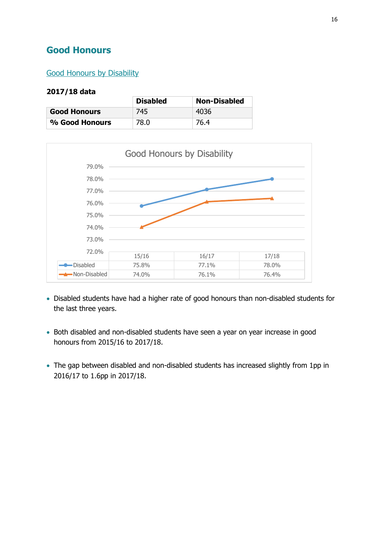## <span id="page-15-0"></span>**Good Honours**

## <span id="page-15-1"></span>Good Honours by Disability

|                     | <b>Disabled</b> | <b>Non-Disabled</b> |
|---------------------|-----------------|---------------------|
| <b>Good Honours</b> | 745             | 4036                |
| % Good Honours      | 78.0            | 76.4                |



- Disabled students have had a higher rate of good honours than non-disabled students for the last three years.
- Both disabled and non-disabled students have seen a year on year increase in good honours from 2015/16 to 2017/18.
- The gap between disabled and non-disabled students has increased slightly from 1pp in 2016/17 to 1.6pp in 2017/18.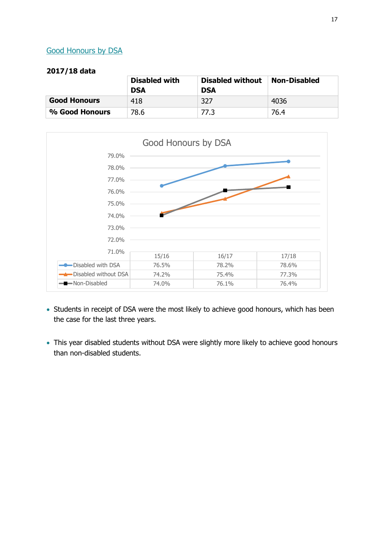## <span id="page-16-0"></span>Good Honours by DSA

|                     | <b>Disabled with</b><br><b>DSA</b> | <b>Disabled without</b><br><b>DSA</b> | <b>Non-Disabled</b> |
|---------------------|------------------------------------|---------------------------------------|---------------------|
| <b>Good Honours</b> | 418                                | 327                                   | 4036                |
| % Good Honours      | 78.6                               | 77.3                                  | 76.4                |



- Students in receipt of DSA were the most likely to achieve good honours, which has been the case for the last three years.
- This year disabled students without DSA were slightly more likely to achieve good honours than non-disabled students.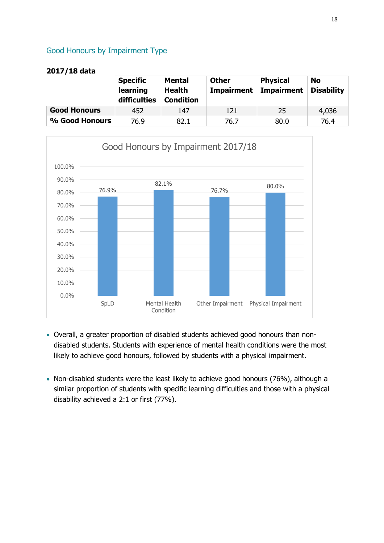## <span id="page-17-0"></span>Good Honours by Impairment Type

|                     | <b>Specific</b><br>learning<br>difficulties | <b>Mental</b><br><b>Health</b><br><b>Condition</b> | <b>Other</b><br><b>Impairment</b> | <b>Physical</b><br><b>Impairment</b> | <b>No</b><br><b>Disability</b> |
|---------------------|---------------------------------------------|----------------------------------------------------|-----------------------------------|--------------------------------------|--------------------------------|
| <b>Good Honours</b> | 452                                         | 147                                                | 121                               | 25                                   | 4,036                          |
| % Good Honours      | 76.9                                        | 82.1                                               | 76.7                              | 80.0                                 | 76.4                           |



- Overall, a greater proportion of disabled students achieved good honours than nondisabled students. Students with experience of mental health conditions were the most likely to achieve good honours, followed by students with a physical impairment.
- Non-disabled students were the least likely to achieve good honours (76%), although a similar proportion of students with specific learning difficulties and those with a physical disability achieved a 2:1 or first (77%).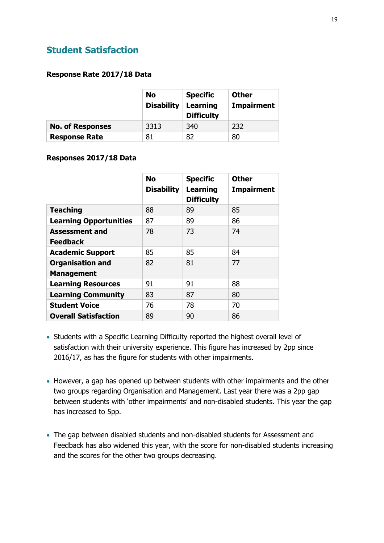## <span id="page-18-0"></span>**Student Satisfaction**

#### **Response Rate 2017/18 Data**

|                         | No<br><b>Disability</b> | <b>Specific</b><br>Learning<br><b>Difficulty</b> | <b>Other</b><br>Impairment |
|-------------------------|-------------------------|--------------------------------------------------|----------------------------|
| <b>No. of Responses</b> | 3313                    | 340                                              | 232                        |
| <b>Response Rate</b>    | 81                      | 82                                               | 80                         |

#### **Responses 2017/18 Data**

|                               | <b>No</b><br><b>Disability</b> | <b>Specific</b><br><b>Learning</b><br><b>Difficulty</b> | <b>Other</b><br><b>Impairment</b> |
|-------------------------------|--------------------------------|---------------------------------------------------------|-----------------------------------|
| <b>Teaching</b>               | 88                             | 89                                                      | 85                                |
| <b>Learning Opportunities</b> | 87                             | 89                                                      | 86                                |
| <b>Assessment and</b>         | 78                             | 73                                                      | 74                                |
| <b>Feedback</b>               |                                |                                                         |                                   |
| <b>Academic Support</b>       | 85                             | 85                                                      | 84                                |
| <b>Organisation and</b>       | 82                             | 81                                                      | 77                                |
| <b>Management</b>             |                                |                                                         |                                   |
| <b>Learning Resources</b>     | 91                             | 91                                                      | 88                                |
| <b>Learning Community</b>     | 83                             | 87                                                      | 80                                |
| <b>Student Voice</b>          | 76                             | 78                                                      | 70                                |
| <b>Overall Satisfaction</b>   | 89                             | 90                                                      | 86                                |

- Students with a Specific Learning Difficulty reported the highest overall level of satisfaction with their university experience. This figure has increased by 2pp since 2016/17, as has the figure for students with other impairments.
- However, a gap has opened up between students with other impairments and the other two groups regarding Organisation and Management. Last year there was a 2pp gap between students with 'other impairments' and non-disabled students. This year the gap has increased to 5pp.
- The gap between disabled students and non-disabled students for Assessment and Feedback has also widened this year, with the score for non-disabled students increasing and the scores for the other two groups decreasing.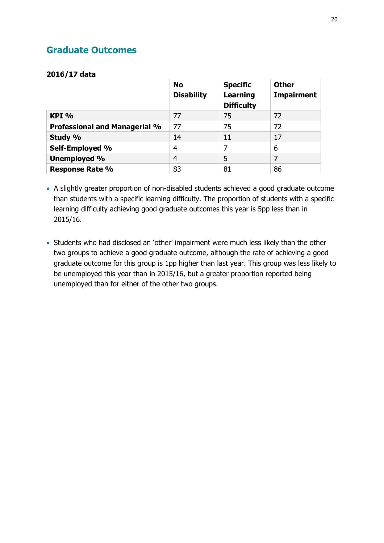## <span id="page-19-0"></span>**Graduate Outcomes**

### **2016/17 data**

|                                      | <b>No</b><br><b>Disability</b> | <b>Specific</b><br>Learning<br><b>Difficulty</b> | <b>Other</b><br><b>Impairment</b> |
|--------------------------------------|--------------------------------|--------------------------------------------------|-----------------------------------|
| KPI %                                | 77                             | 75                                               | 72                                |
| <b>Professional and Managerial %</b> | 77                             | 75                                               | 72                                |
| Study %                              | 14                             | 11                                               | 17                                |
| Self-Employed %                      | 4                              | 7                                                | 6                                 |
| Unemployed %                         | $\overline{4}$                 | 5                                                | 7                                 |
| <b>Response Rate %</b>               | 83                             | 81                                               | 86                                |

 A slightly greater proportion of non-disabled students achieved a good graduate outcome than students with a specific learning difficulty. The proportion of students with a specific learning difficulty achieving good graduate outcomes this year is 5pp less than in 2015/16.

 Students who had disclosed an 'other' impairment were much less likely than the other two groups to achieve a good graduate outcome, although the rate of achieving a good graduate outcome for this group is 1pp higher than last year. This group was less likely to be unemployed this year than in 2015/16, but a greater proportion reported being unemployed than for either of the other two groups.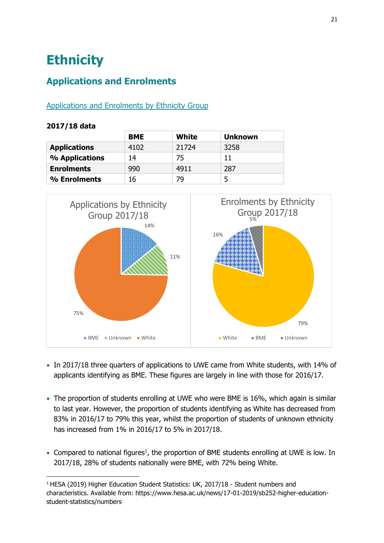## <span id="page-20-0"></span>**Ethnicity**

## <span id="page-20-1"></span>**Applications and Enrolments**

## <span id="page-20-2"></span>Applications and Enrolments by Ethnicity Group

### **2017/18 data**

-

|                     | <b>BME</b> | White | <b>Unknown</b> |
|---------------------|------------|-------|----------------|
| <b>Applications</b> | 4102       | 21724 | 3258           |
| % Applications      | 14         | 75    | 11             |
| <b>Enrolments</b>   | 990        | 4911  | 287            |
| % Enrolments        | 16         | 79    | כ              |



- In 2017/18 three quarters of applications to UWE came from White students, with 14% of applicants identifying as BME. These figures are largely in line with those for 2016/17.
- The proportion of students enrolling at UWE who were BME is 16%, which again is similar to last year. However, the proportion of students identifying as White has decreased from 83% in 2016/17 to 79% this year, whilst the proportion of students of unknown ethnicity has increased from 1% in 2016/17 to 5% in 2017/18.
- Compared to national figures<sup>1</sup>, the proportion of BME students enrolling at UWE is low. In 2017/18, 28% of students nationally were BME, with 72% being White.

<sup>1</sup> HESA (2019) Higher Education Student Statistics: UK, 2017/18 - Student numbers and characteristics. Available from: https://www.hesa.ac.uk/news/17-01-2019/sb252-higher-educationstudent-statistics/numbers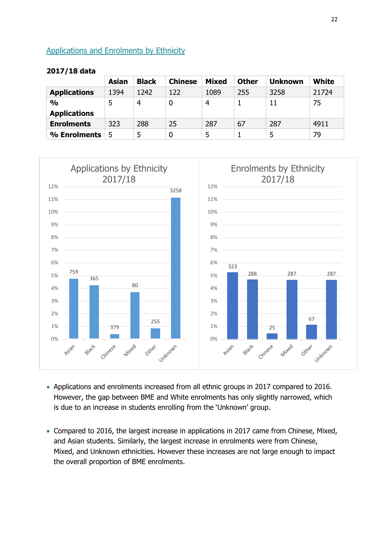### <span id="page-21-0"></span>Applications and Enrolments by Ethnicity

|                     | Asian | <b>Black</b> | <b>Chinese</b> | Mixed | <b>Other</b> | <b>Unknown</b> | <b>White</b> |
|---------------------|-------|--------------|----------------|-------|--------------|----------------|--------------|
| <b>Applications</b> | 1394  | 1242         | 122            | 1089  | 255          | 3258           | 21724        |
| $\frac{0}{0}$       | 5     | 4            | 0              | 4     |              | 11             | 75           |
| <b>Applications</b> |       |              |                |       |              |                |              |
| <b>Enrolments</b>   | 323   | 288          | 25             | 287   | 67           | 287            | 4911         |
| % Enrolments        | 5     |              | 0              | 5     |              | 5              | 79           |



- Applications and enrolments increased from all ethnic groups in 2017 compared to 2016. However, the gap between BME and White enrolments has only slightly narrowed, which is due to an increase in students enrolling from the 'Unknown' group.
- Compared to 2016, the largest increase in applications in 2017 came from Chinese, Mixed, and Asian students. Similarly, the largest increase in enrolments were from Chinese, Mixed, and Unknown ethnicities. However these increases are not large enough to impact the overall proportion of BME enrolments.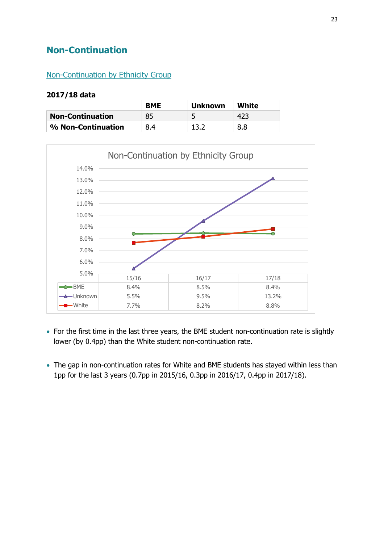## <span id="page-22-0"></span>**Non-Continuation**

### <span id="page-22-1"></span>Non-Continuation by Ethnicity Group

|                         | <b>BME</b> | <b>Unknown</b> | White |
|-------------------------|------------|----------------|-------|
| <b>Non-Continuation</b> | 85         |                | 423   |
| % Non-Continuation      | 8.4        | 13 J           | 8.8   |



- For the first time in the last three years, the BME student non-continuation rate is slightly lower (by 0.4pp) than the White student non-continuation rate.
- The gap in non-continuation rates for White and BME students has stayed within less than 1pp for the last 3 years (0.7pp in 2015/16, 0.3pp in 2016/17, 0.4pp in 2017/18).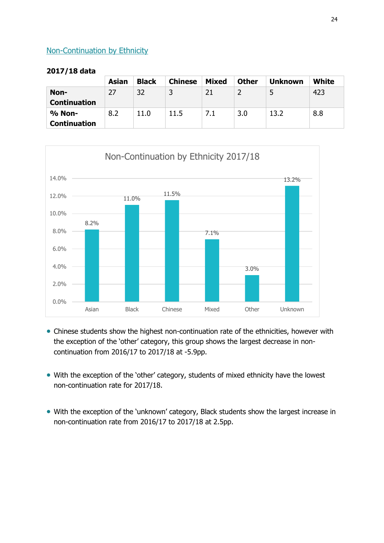### <span id="page-23-0"></span>Non-Continuation by Ethnicity

|                     | Asian | <b>Black</b> | <b>Chinese</b> | <b>Mixed</b> | <b>Other</b> | <b>Unknown</b> | <b>White</b> |
|---------------------|-------|--------------|----------------|--------------|--------------|----------------|--------------|
| Non-                | 27    | 32           |                | 21           |              | 5              | 423          |
| <b>Continuation</b> |       |              |                |              |              |                |              |
| % Non-              | 8.2   | 11.0         | 11.5           | 7.1          | 3.0          | 13.2           | 8.8          |
| <b>Continuation</b> |       |              |                |              |              |                |              |



- Chinese students show the highest non-continuation rate of the ethnicities, however with the exception of the 'other' category, this group shows the largest decrease in noncontinuation from 2016/17 to 2017/18 at -5.9pp.
- With the exception of the 'other' category, students of mixed ethnicity have the lowest non-continuation rate for 2017/18.
- With the exception of the 'unknown' category, Black students show the largest increase in non-continuation rate from 2016/17 to 2017/18 at 2.5pp.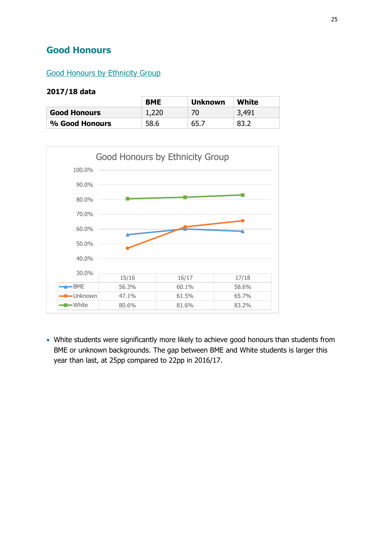## <span id="page-24-0"></span>**Good Honours**

## <span id="page-24-1"></span>Good Honours by Ethnicity Group

#### **2017/18 data**

|                     | <b>BME</b> | <b>Unknown</b> | White |
|---------------------|------------|----------------|-------|
| <b>Good Honours</b> | 1,220      | 70.            | 3,491 |
| % Good Honours      | 58.6       | 65.7           | 83.2  |



 White students were significantly more likely to achieve good honours than students from BME or unknown backgrounds. The gap between BME and White students is larger this year than last, at 25pp compared to 22pp in 2016/17.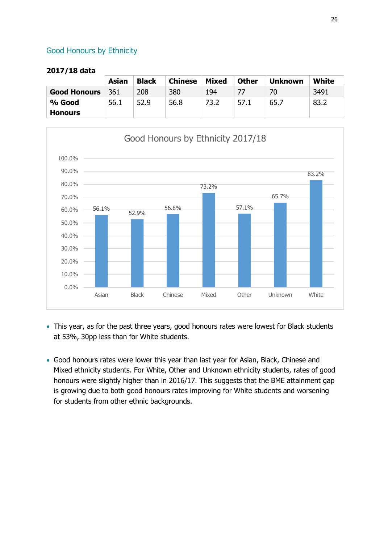### <span id="page-25-0"></span>Good Honours by Ethnicity

|                     | Asian | <b>Black</b> | <b>Chinese</b> | Mixed | <b>Other</b> | <b>Unknown</b> | White |
|---------------------|-------|--------------|----------------|-------|--------------|----------------|-------|
| <b>Good Honours</b> | 361   | 208          | 380            | 194   |              | 70             | 3491  |
| % Good              | 56.1  | 52.9         | 56.8           | 73.2  | 57.1         | 65.7           | 83.2  |
| <b>Honours</b>      |       |              |                |       |              |                |       |



- This year, as for the past three years, good honours rates were lowest for Black students at 53%, 30pp less than for White students.
- Good honours rates were lower this year than last year for Asian, Black, Chinese and Mixed ethnicity students. For White, Other and Unknown ethnicity students, rates of good honours were slightly higher than in 2016/17. This suggests that the BME attainment gap is growing due to both good honours rates improving for White students and worsening for students from other ethnic backgrounds.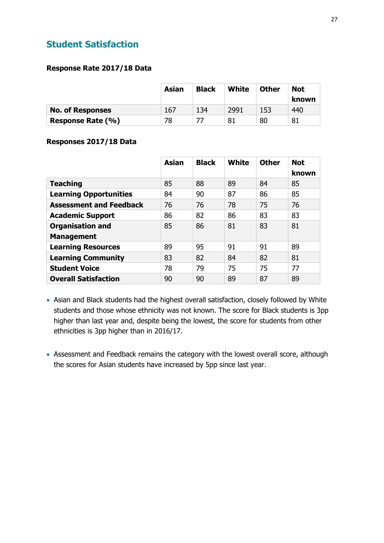## <span id="page-26-0"></span>**Student Satisfaction**

### **Response Rate 2017/18 Data**

|                         | Asian | <b>Black</b> | White | <b>Other</b> | <b>Not</b><br>known |
|-------------------------|-------|--------------|-------|--------------|---------------------|
| <b>No. of Responses</b> | 167   | 134          | 2991  | 153          | 440                 |
| Response Rate (%)       | 78    |              | 81    | 80           | 81                  |

### **Responses 2017/18 Data**

|                                              | <b>Asian</b> | <b>Black</b> | <b>White</b> | <b>Other</b> | <b>Not</b><br>known |
|----------------------------------------------|--------------|--------------|--------------|--------------|---------------------|
| <b>Teaching</b>                              | 85           | 88           | 89           | 84           | 85                  |
| <b>Learning Opportunities</b>                | 84           | 90           | 87           | 86           | 85                  |
| <b>Assessment and Feedback</b>               | 76           | 76           | 78           | 75           | 76                  |
| <b>Academic Support</b>                      | 86           | 82           | 86           | 83           | 83                  |
| <b>Organisation and</b><br><b>Management</b> | 85           | 86           | 81           | 83           | 81                  |
| <b>Learning Resources</b>                    | 89           | 95           | 91           | 91           | 89                  |
| <b>Learning Community</b>                    | 83           | 82           | 84           | 82           | 81                  |
| <b>Student Voice</b>                         | 78           | 79           | 75           | 75           | 77                  |
| <b>Overall Satisfaction</b>                  | 90           | 90           | 89           | 87           | 89                  |

- Asian and Black students had the highest overall satisfaction, closely followed by White students and those whose ethnicity was not known. The score for Black students is 3pp higher than last year and, despite being the lowest, the score for students from other ethnicities is 3pp higher than in 2016/17.
- Assessment and Feedback remains the category with the lowest overall score, although the scores for Asian students have increased by 5pp since last year.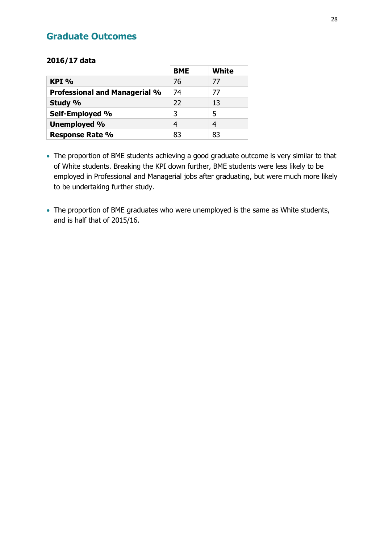## <span id="page-27-0"></span>**Graduate Outcomes**

### **2016/17 data**

|                                      | <b>BME</b> | <b>White</b> |
|--------------------------------------|------------|--------------|
| $KPI\%$                              | 76         | 77           |
| <b>Professional and Managerial %</b> | 74         | 77           |
| Study %                              | 22         | 13           |
| Self-Employed %                      | 3          | 5            |
| <b>Unemployed %</b>                  | 4          | 4            |
| <b>Response Rate %</b>               | 83         | 83           |

- The proportion of BME students achieving a good graduate outcome is very similar to that of White students. Breaking the KPI down further, BME students were less likely to be employed in Professional and Managerial jobs after graduating, but were much more likely to be undertaking further study.
- The proportion of BME graduates who were unemployed is the same as White students, and is half that of 2015/16.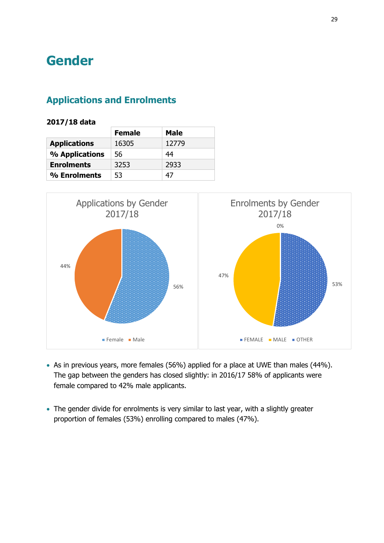## <span id="page-28-0"></span>**Gender**

## <span id="page-28-1"></span>**Applications and Enrolments**

|                     | <b>Female</b> | <b>Male</b> |
|---------------------|---------------|-------------|
| <b>Applications</b> | 16305         | 12779       |
| % Applications      | 56            | 44          |
| <b>Enrolments</b>   | 3253          | 2933        |
| % Enrolments        | 53            | 47          |



- As in previous years, more females (56%) applied for a place at UWE than males (44%). The gap between the genders has closed slightly: in 2016/17 58% of applicants were female compared to 42% male applicants.
- The gender divide for enrolments is very similar to last year, with a slightly greater proportion of females (53%) enrolling compared to males (47%).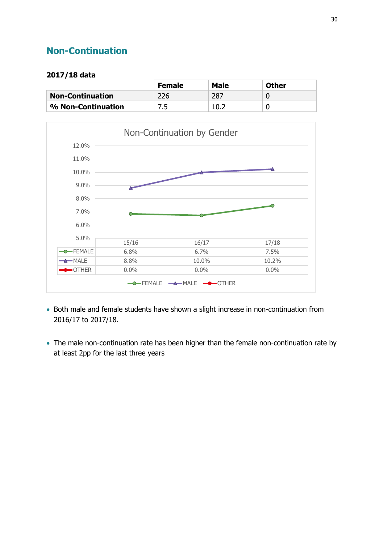## <span id="page-29-0"></span>**Non-Continuation**

|                         | <b>Female</b> | <b>Male</b> | <b>Other</b> |
|-------------------------|---------------|-------------|--------------|
| <b>Non-Continuation</b> | 226           | 287         |              |
| % Non-Continuation      |               | 10.2        |              |



- Both male and female students have shown a slight increase in non-continuation from 2016/17 to 2017/18.
- The male non-continuation rate has been higher than the female non-continuation rate by at least 2pp for the last three years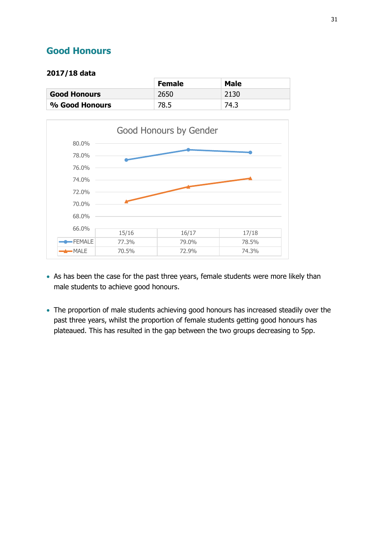## <span id="page-30-0"></span>**Good Honours**

|                     | <b>Female</b> | <b>Male</b> |
|---------------------|---------------|-------------|
| <b>Good Honours</b> | 2650          | 2130        |
| % Good Honours      | 78.5          | 74.3        |



- As has been the case for the past three years, female students were more likely than male students to achieve good honours.
- The proportion of male students achieving good honours has increased steadily over the past three years, whilst the proportion of female students getting good honours has plateaued. This has resulted in the gap between the two groups decreasing to 5pp.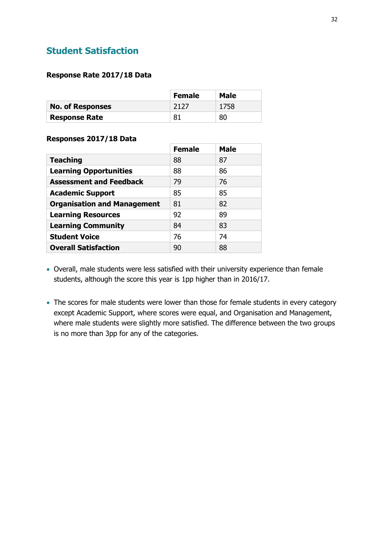## <span id="page-31-0"></span>**Student Satisfaction**

#### **Response Rate 2017/18 Data**

|                         | <b>Female</b> | Male |
|-------------------------|---------------|------|
| <b>No. of Responses</b> | 2127          | 1758 |
| <b>Response Rate</b>    | 81            | 80   |

#### **Responses 2017/18 Data**

|                                    | <b>Female</b> | <b>Male</b> |
|------------------------------------|---------------|-------------|
| <b>Teaching</b>                    | 88            | 87          |
| <b>Learning Opportunities</b>      | 88            | 86          |
| <b>Assessment and Feedback</b>     | 79            | 76          |
| <b>Academic Support</b>            | 85            | 85          |
| <b>Organisation and Management</b> | 81            | 82          |
| <b>Learning Resources</b>          | 92            | 89          |
| <b>Learning Community</b>          | 84            | 83          |
| <b>Student Voice</b>               | 76            | 74          |
| <b>Overall Satisfaction</b>        | 90            | 88          |

- Overall, male students were less satisfied with their university experience than female students, although the score this year is 1pp higher than in 2016/17.
- The scores for male students were lower than those for female students in every category except Academic Support, where scores were equal, and Organisation and Management, where male students were slightly more satisfied. The difference between the two groups is no more than 3pp for any of the categories.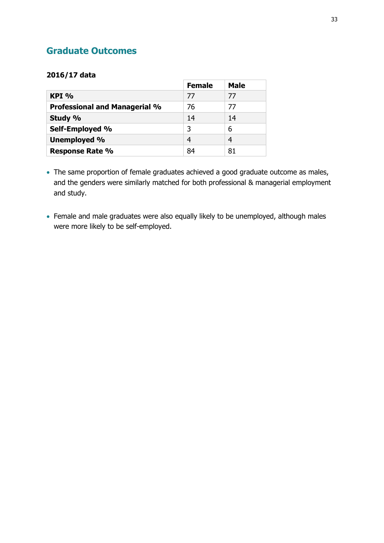## <span id="page-32-0"></span>**Graduate Outcomes**

#### **2016/17 data**

|                                      | <b>Female</b> | <b>Male</b> |
|--------------------------------------|---------------|-------------|
| $KPI\%$                              | 77            | 77          |
| <b>Professional and Managerial %</b> | 76            | 77          |
| Study %                              | 14            | 14          |
| Self-Employed %                      | 3             | 6           |
| Unemployed %                         | 4             | 4           |
| <b>Response Rate %</b>               | 84            | 81          |

- The same proportion of female graduates achieved a good graduate outcome as males, and the genders were similarly matched for both professional & managerial employment and study.
- Female and male graduates were also equally likely to be unemployed, although males were more likely to be self-employed.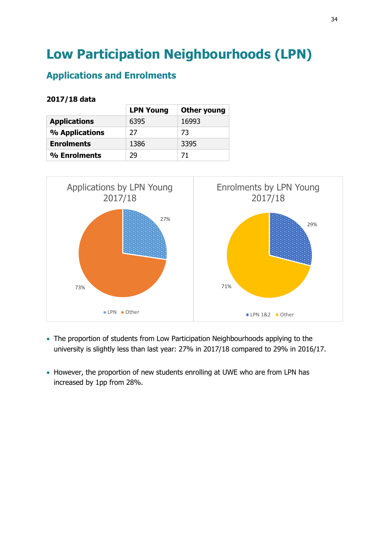## <span id="page-33-0"></span>**Low Participation Neighbourhoods (LPN)**

## <span id="page-33-1"></span>**Applications and Enrolments**

|                     | <b>LPN Young</b> | <b>Other young</b> |
|---------------------|------------------|--------------------|
| <b>Applications</b> | 6395             | 16993              |
| % Applications      | 27               | 73                 |
| <b>Enrolments</b>   | 1386             | 3395               |
| % Enrolments        | 79               | 71                 |



- The proportion of students from Low Participation Neighbourhoods applying to the university is slightly less than last year: 27% in 2017/18 compared to 29% in 2016/17.
- However, the proportion of new students enrolling at UWE who are from LPN has increased by 1pp from 28%.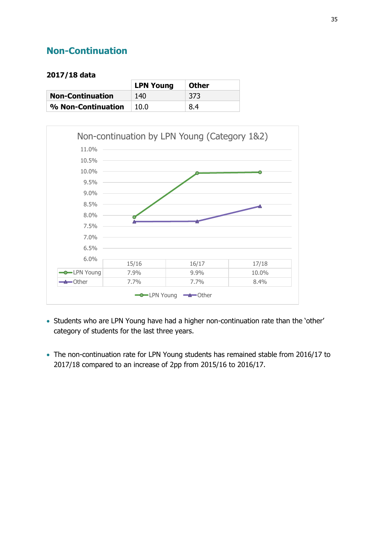## <span id="page-34-0"></span>**Non-Continuation**

|                         | <b>LPN Young</b> | <b>Other</b> |
|-------------------------|------------------|--------------|
| <b>Non-Continuation</b> | 140              | -373         |
| % Non-Continuation      | 10.0             | 8.4          |



- Students who are LPN Young have had a higher non-continuation rate than the 'other' category of students for the last three years.
- The non-continuation rate for LPN Young students has remained stable from 2016/17 to 2017/18 compared to an increase of 2pp from 2015/16 to 2016/17.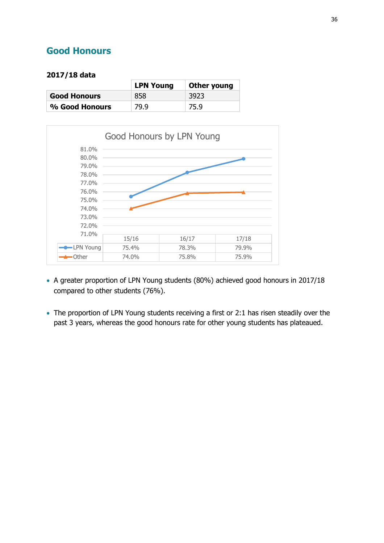## <span id="page-35-0"></span>**Good Honours**

|                     | <b>LPN Young</b> | Other young |
|---------------------|------------------|-------------|
| <b>Good Honours</b> | 858              | 3923        |
| % Good Honours      | 79.9             | 75.9        |



- A greater proportion of LPN Young students (80%) achieved good honours in 2017/18 compared to other students (76%).
- The proportion of LPN Young students receiving a first or 2:1 has risen steadily over the past 3 years, whereas the good honours rate for other young students has plateaued.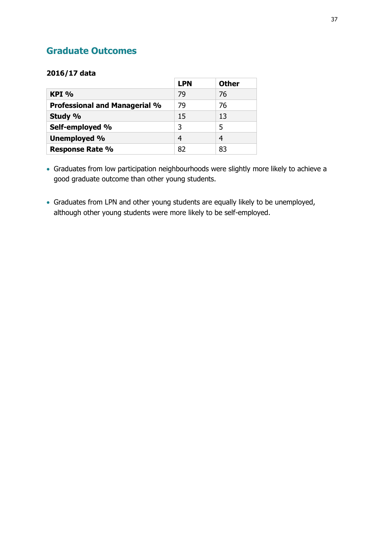## <span id="page-36-0"></span>**Graduate Outcomes**

#### **2016/17 data**

|                                      | <b>LPN</b> | <b>Other</b> |
|--------------------------------------|------------|--------------|
| $KPI$ %                              | 79         | 76           |
| <b>Professional and Managerial %</b> | 79         | 76           |
| Study %                              | 15         | 13           |
| Self-employed %                      | 3          | 5            |
| Unemployed %                         | 4          | 4            |
| <b>Response Rate %</b>               | 82         | 83           |

- Graduates from low participation neighbourhoods were slightly more likely to achieve a good graduate outcome than other young students.
- Graduates from LPN and other young students are equally likely to be unemployed, although other young students were more likely to be self-employed.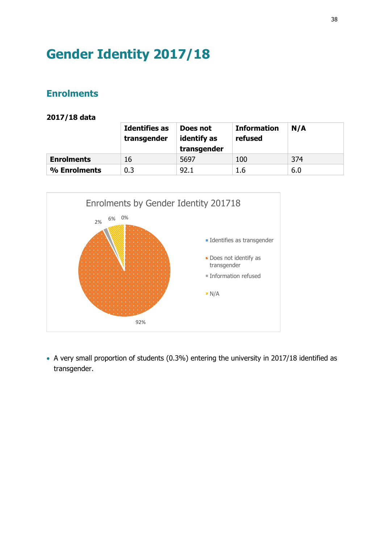## <span id="page-37-0"></span>**Gender Identity 2017/18**

## <span id="page-37-1"></span>**Enrolments**

#### **2017/18 data**

| <b>Identifies as</b><br>transgender |     | Does not<br>identify as<br>transgender | <b>Information</b><br>refused | N/A |  |
|-------------------------------------|-----|----------------------------------------|-------------------------------|-----|--|
| <b>Enrolments</b>                   | 16  | 5697                                   | 100                           | 374 |  |
| % Enrolments                        | 0.3 | 92.1                                   | 1.6                           | 6.0 |  |



 A very small proportion of students (0.3%) entering the university in 2017/18 identified as transgender.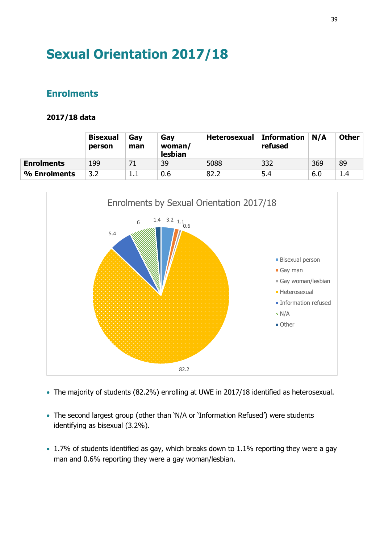## <span id="page-38-0"></span>**Sexual Orientation 2017/18**

## <span id="page-38-1"></span>**Enrolments**

|                   | <b>Bisexual</b><br>person | Gay<br>man | Gay<br>woman/<br>lesbian | <b>Heterosexual</b> | <b>Information</b><br>refused | N/A | <b>Other</b> |
|-------------------|---------------------------|------------|--------------------------|---------------------|-------------------------------|-----|--------------|
| <b>Enrolments</b> | 199                       | 71         | 39                       | 5088                | 332                           | 369 | 89           |
| % Enrolments      | 3.2                       |            | 0.6                      | 82.2                | 5.4                           | 6.0 | 1.4          |



- The majority of students (82.2%) enrolling at UWE in 2017/18 identified as heterosexual.
- The second largest group (other than 'N/A or 'Information Refused') were students identifying as bisexual (3.2%).
- 1.7% of students identified as gay, which breaks down to 1.1% reporting they were a gay man and 0.6% reporting they were a gay woman/lesbian.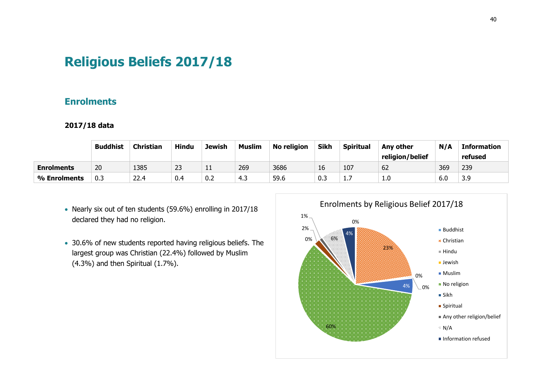## **Religious Beliefs 2017/18**

## **Enrolments**

|                   | <b>Buddhist</b> | <b>Christian</b> | <b>Hindu</b> | <b>Jewish</b> | <b>Muslim</b> | <b>No religion</b> | <b>Sikh</b> | <b>Spiritual</b> | Any other       | N/A | <b>Information</b> |
|-------------------|-----------------|------------------|--------------|---------------|---------------|--------------------|-------------|------------------|-----------------|-----|--------------------|
|                   |                 |                  |              |               |               |                    |             |                  | religion/belief |     | refused            |
| <b>Enrolments</b> | 20              | 1385             | 23           | ᆠ             | 269           | 3686               | 16          | 107              | 62              | 369 | 239                |
| % Enrolments      | 0.3             | 22.4             | 0.4          | 0.2           | 4.3           | 59.6               | 0.3         | .                | 1.0             | 6.0 | 3.9                |

- <span id="page-39-0"></span>• Nearly six out of ten students (59.6%) enrolling in 2017/18 declared they had no religion.
- <span id="page-39-1"></span>• 30.6% of new students reported having religious beliefs. The largest group was Christian (22.4%) followed by Muslim (4.3%) and then Spiritual (1.7%).

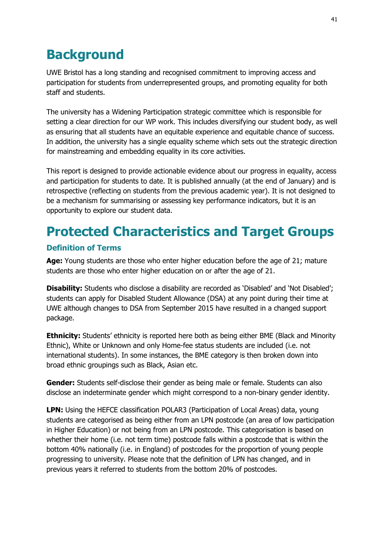## <span id="page-40-0"></span>**Background**

UWE Bristol has a long standing and recognised commitment to improving access and participation for students from underrepresented groups, and promoting equality for both staff and students.

The university has a Widening Participation strategic committee which is responsible for setting a clear direction for our WP work. This includes diversifying our student body, as well as ensuring that all students have an equitable experience and equitable chance of success. In addition, the university has a single equality scheme which sets out the strategic direction for mainstreaming and embedding equality in its core activities.

This report is designed to provide actionable evidence about our progress in equality, access and participation for students to date. It is published annually (at the end of January) and is retrospective (reflecting on students from the previous academic year). It is not designed to be a mechanism for summarising or assessing key performance indicators, but it is an opportunity to explore our student data.

## <span id="page-40-1"></span>**Protected Characteristics and Target Groups**

## <span id="page-40-2"></span>**Definition of Terms**

Age: Young students are those who enter higher education before the age of 21; mature students are those who enter higher education on or after the age of 21.

**Disability:** Students who disclose a disability are recorded as 'Disabled' and 'Not Disabled'; students can apply for Disabled Student Allowance (DSA) at any point during their time at UWE although changes to DSA from September 2015 have resulted in a changed support package.

**Ethnicity:** Students' ethnicity is reported here both as being either BME (Black and Minority Ethnic), White or Unknown and only Home-fee status students are included (i.e. not international students). In some instances, the BME category is then broken down into broad ethnic groupings such as Black, Asian etc.

**Gender:** Students self-disclose their gender as being male or female. Students can also disclose an indeterminate gender which might correspond to a non-binary gender identity.

**LPN:** Using the HEFCE classification POLAR3 (Participation of Local Areas) data, young students are categorised as being either from an LPN postcode (an area of low participation in Higher Education) or not being from an LPN postcode. This categorisation is based on whether their home (i.e. not term time) postcode falls within a postcode that is within the bottom 40% nationally (i.e. in England) of postcodes for the proportion of young people progressing to university. Please note that the definition of LPN has changed, and in previous years it referred to students from the bottom 20% of postcodes.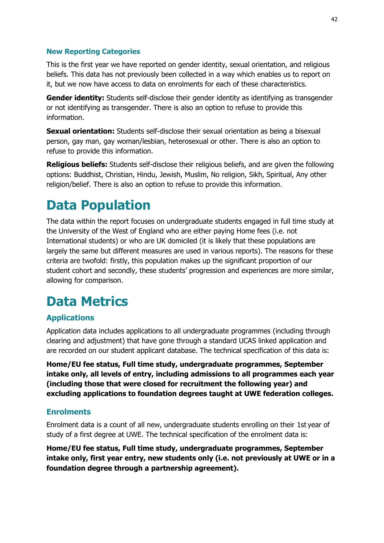### <span id="page-41-0"></span>**New Reporting Categories**

This is the first year we have reported on gender identity, sexual orientation, and religious beliefs. This data has not previously been collected in a way which enables us to report on it, but we now have access to data on enrolments for each of these characteristics.

**Gender identity:** Students self-disclose their gender identity as identifying as transgender or not identifying as transgender. There is also an option to refuse to provide this information.

**Sexual orientation:** Students self-disclose their sexual orientation as being a bisexual person, gay man, gay woman/lesbian, heterosexual or other. There is also an option to refuse to provide this information.

**Religious beliefs:** Students self-disclose their religious beliefs, and are given the following options: Buddhist, Christian, Hindu, Jewish, Muslim, No religion, Sikh, Spiritual, Any other religion/belief. There is also an option to refuse to provide this information.

## <span id="page-41-1"></span>**Data Population**

The data within the report focuses on undergraduate students engaged in full time study at the University of the West of England who are either paying Home fees (i.e. not International students) or who are UK domiciled (it is likely that these populations are largely the same but different measures are used in various reports). The reasons for these criteria are twofold: firstly, this population makes up the significant proportion of our student cohort and secondly, these students' progression and experiences are more similar, allowing for comparison.

## <span id="page-41-2"></span>**Data Metrics**

## <span id="page-41-3"></span>**Applications**

Application data includes applications to all undergraduate programmes (including through clearing and adjustment) that have gone through a standard UCAS linked application and are recorded on our student applicant database. The technical specification of this data is:

**Home/EU fee status, Full time study, undergraduate programmes, September intake only, all levels of entry, including admissions to all programmes each year (including those that were closed for recruitment the following year) and excluding applications to foundation degrees taught at UWE federation colleges.** 

### <span id="page-41-4"></span>**Enrolments**

Enrolment data is a count of all new, undergraduate students enrolling on their 1st year of study of a first degree at UWE. The technical specification of the enrolment data is:

**Home/EU fee status, Full time study, undergraduate programmes, September intake only, first year entry, new students only (i.e. not previously at UWE or in a foundation degree through a partnership agreement).**